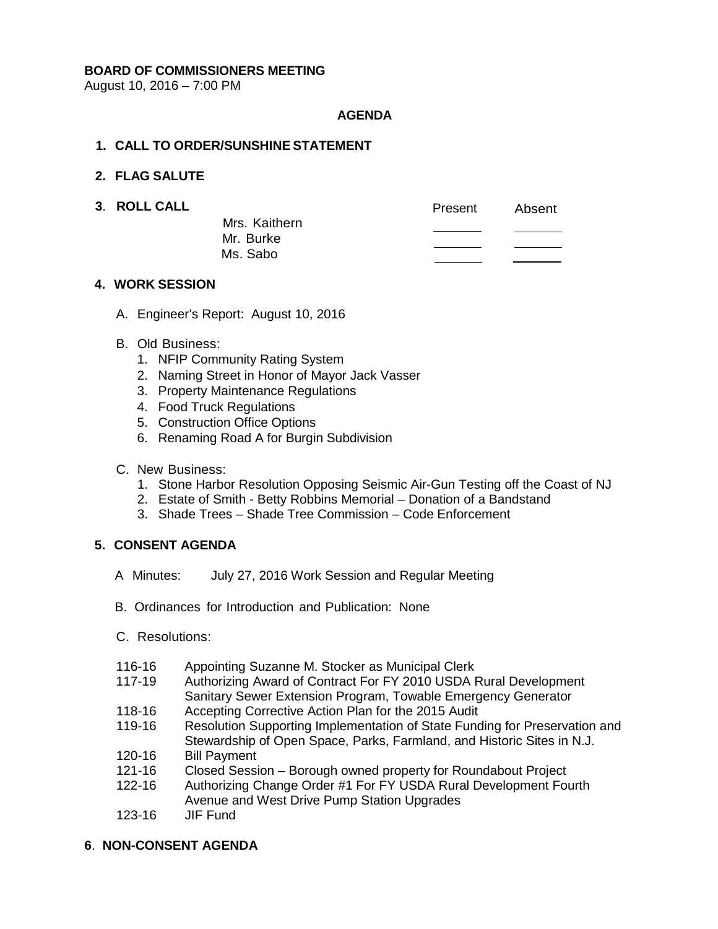### **BOARD OF COMMISSIONERS MEETING**

August 10, 2016 – 7:00 PM

## **AGENDA**

## **1. CALL TO ORDER/SUNSHINE STATEMENT**

### **2. FLAG SALUTE**

**3. ROLL CALL CALL Present** Absent Mrs. Kaithern Mr. Burke Ms. Sabo

## **4. WORK SESSION**

A. Engineer's Report: August 10, 2016

## B. Old Business:

- 1. NFIP Community Rating System
- 2. Naming Street in Honor of Mayor Jack Vasser
- 3. Property Maintenance Regulations
- 4. Food Truck Regulations
- 5. Construction Office Options
- 6. Renaming Road A for Burgin Subdivision
- C. New Business:
	- 1. Stone Harbor Resolution Opposing Seismic Air-Gun Testing off the Coast of NJ
	- 2. Estate of Smith Betty Robbins Memorial Donation of a Bandstand
	- 3. Shade Trees Shade Tree Commission Code Enforcement

# **5. CONSENT AGENDA**

- A Minutes: July 27, 2016 Work Session and Regular Meeting
- B. Ordinances for Introduction and Publication: None
- C. Resolutions:
- 116-16 Appointing Suzanne M. Stocker as Municipal Clerk
- 117-19 Authorizing Award of Contract For FY 2010 USDA Rural Development Sanitary Sewer Extension Program, Towable Emergency Generator
- 118-16 Accepting Corrective Action Plan for the 2015 Audit
- 119-16 Resolution Supporting Implementation of State Funding for Preservation and Stewardship of Open Space, Parks, Farmland, and Historic Sites in N.J.
- 120-16 Bill Payment
- 121-16 Closed Session Borough owned property for Roundabout Project
- 122-16 Authorizing Change Order #1 For FY USDA Rural Development Fourth Avenue and West Drive Pump Station Upgrades
- 123-16 JIF Fund

# **6**. **NON-CONSENT AGENDA**